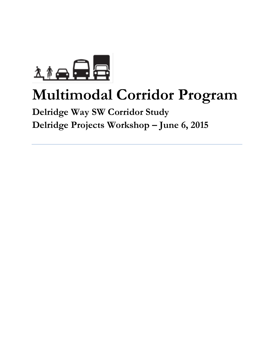

# **Multimodal Corridor Program**

# **Delridge Way SW Corridor Study Delridge Projects Workshop – June 6, 2015**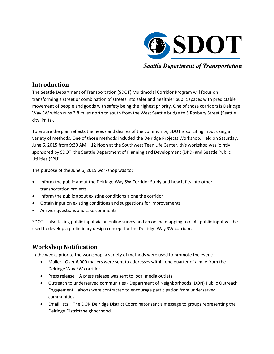

**Seattle Department of Transportation** 

## **Introduction**

The Seattle Department of Transportation (SDOT) Multimodal Corridor Program will focus on transforming a street or combination of streets into safer and healthier public spaces with predictable movement of people and goods with safety being the highest priority. One of those corridors is Delridge Way SW which runs 3.8 miles north to south from the West Seattle bridge to S Roxbury Street (Seattle city limits).

To ensure the plan reflects the needs and desires of the community, SDOT is soliciting input using a variety of methods. One of those methods included the Delridge Projects Workshop. Held on Saturday, June 6, 2015 from 9:30 AM – 12 Noon at the Southwest Teen Life Center, this workshop was jointly sponsored by SDOT, the Seattle Department of Planning and Development (DPD) and Seattle Public Utilities (SPU).

The purpose of the June 6, 2015 workshop was to:

- Inform the public about the Delridge Way SW Corridor Study and how it fits into other transportation projects
- Inform the public about existing conditions along the corridor
- Obtain input on existing conditions and suggestions for improvements
- Answer questions and take comments

SDOT is also taking public input via an online survey and an online mapping tool. All public input will be used to develop a preliminary design concept for the Delridge Way SW corridor.

### **Workshop Notification**

In the weeks prior to the workshop, a variety of methods were used to promote the event:

- Mailer Over 6,000 mailers were sent to addresses within one quarter of a mile from the Delridge Way SW corridor.
- Press release A press release was sent to local media outlets.
- Outreach to underserved communities Department of Neighborhoods (DON) Public Outreach Engagement Liaisons were contracted to encourage participation from underserved communities.
- Email lists The DON Delridge District Coordinator sent a message to groups representing the Delridge District/neighborhood.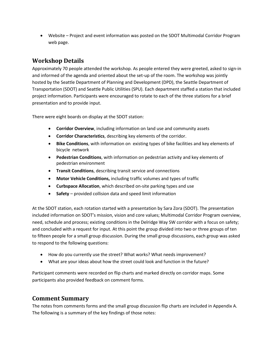• Website – Project and event information was posted on the SDOT Multimodal Corridor Program web page.

# **Workshop Details**

Approximately 70 people attended the workshop. As people entered they were greeted, asked to sign-in and informed of the agenda and oriented about the set-up of the room. The workshop was jointly hosted by the Seattle Department of Planning and Development (DPD), the Seattle Department of Transportation (SDOT) and Seattle Public Utilities (SPU). Each department staffed a station that included project information. Participants were encouraged to rotate to each of the three stations for a brief presentation and to provide input.

There were eight boards on display at the SDOT station:

- **Corridor Overview**, including information on land use and community assets
- **Corridor Characteristics**, describing key elements of the corridor.
- **Bike Conditions**, with information on existing types of bike facilities and key elements of bicycle network
- **Pedestrian Conditions**, with information on pedestrian activity and key elements of pedestrian environment
- **Transit Conditions**, describing transit service and connections
- **Motor Vehicle Conditions,** including traffic volumes and types of traffic
- **Curbspace Allocation**, which described on-site parking types and use
- **Safety** provided collision data and speed limit information

At the SDOT station, each rotation started with a presentation by Sara Zora (SDOT). The presentation included information on SDOT's mission, vision and core values; Multimodal Corridor Program overview, need, schedule and process; existing conditions in the Delridge Way SW corridor with a focus on safety; and concluded with a request for input. At this point the group divided into two or three groups of ten to fifteen people for a small group discussion. During the small group discussions, each group was asked to respond to the following questions:

- How do you currently use the street? What works? What needs improvement?
- What are your ideas about how the street could look and function in the future?

Participant comments were recorded on flip charts and marked directly on corridor maps. Some participants also provided feedback on comment forms.

# **Comment Summary**

The notes from comments forms and the small group discussion flip charts are included in Appendix A. The following is a summary of the key findings of those notes: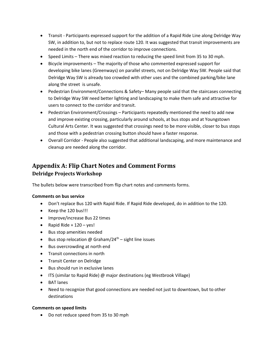- Transit Participants expressed support for the addition of a Rapid Ride Line along Delridge Way SW, in addition to, but not to replace route 120. It was suggested that transit improvements are needed in the north end of the corridor to improve connections.
- Speed Limits There was mixed reaction to reducing the speed limit from 35 to 30 mph.
- Bicycle improvements The majority of those who commented expressed support for developing bike lanes (Greenways) on parallel streets, not on Delridge Way SW. People said that Delridge Way SW is already too crowded with other uses and the combined parking/bike lane along the street is unsafe.
- Pedestrian Environment/Connections & Safety– Many people said that the staircases connecting to Delridge Way SW need better lighting and landscaping to make them safe and attractive for users to connect to the corridor and transit.
- Pedestrian Environment/Crossings Participants repeatedly mentioned the need to add new and improve existing crossing, particularly around schools, at bus stops and at Youngstown Cultural Arts Center. It was suggested that crossings need to be more visible, closer to bus stops and those with a pedestrian crossing button should have a faster response.
- Overall Corridor People also suggested that additional landscaping, and more maintenance and cleanup are needed along the corridor.

# **Appendix A: Flip Chart Notes and Comment Forms Delridge Projects Workshop**

The bullets below were transcribed from flip chart notes and comments forms.

#### **Comments on bus service**

- Don't replace Bus 120 with Rapid Ride. If Rapid Ride developed, do in addition to the 120.
- Keep the 120 bus!!!
- Improve/increase Bus 22 times
- Rapid Ride +  $120 \text{ves}$ !
- Bus stop amenities needed
- Bus stop relocation @ Graham/24<sup>th</sup> sight line issues
- Bus overcrowding at north end
- Transit connections in north
- Transit Center on Delridge
- Bus should run in exclusive lanes
- ITS (similar to Rapid Ride) @ major destinations (eg Westbrook Village)
- BAT lanes
- Need to recognize that good connections are needed not just to downtown, but to other destinations

#### **Comments on speed limits**

• Do not reduce speed from 35 to 30 mph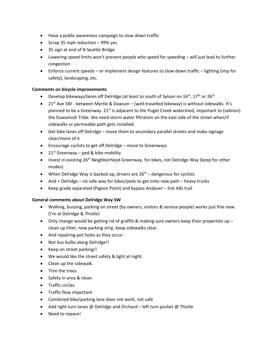- Have a public awareness campaign to slow down traffic
- Scrap 35 mph reduction 99% yes
- 35 sign at end of N Seattle Bridge
- Lowering speed limits won't prevent people who speed for speeding will just lead to further congestion
- Enforce current speeds or implement design features to slow down traffic lighting (imp for safety), landscaping, etc.

#### **Comments on bicycle improvements**

- Develop bikeways/lanes off Delridge (at least to south of Sylvan on  $16^{th}$ ,  $17^{th}$  or  $26^{th}$
- 21st Ave SW between Myrtle & Dawson (well-travelled bikeway) is without sidewalks. It's planned to be a Greenway. 21<sup>st</sup> is adjacent to the Puget Creek watershed, important to (salmon) the Duwamish Tribe. We need storm water filtration on the east side of the street when/if sidewalks or permeable path gets installed.
- Get bike lanes off Delridge move them to secondary parallel streets and make signage clear/more of it
- Encourage cyclists to get off Delridge move to Greenways
- 21st Greenway ped & bike mobility
- Invest in existing  $26<sup>th</sup>$  Neighborhood Greenway, for bikes, not Delridge Way (keep for other modes)
- When Delridge Way is backed up, drivers are  $26<sup>th</sup>$  dangerous for cyclists
- And + Delridge no safe way for bikes/peds to get onto new path heavy trucks
- Keep grade separated (Pigeon Point) and bypass Andover link Alki trail

#### **General comments about Delridge Way SW**

- Walking, bussing, parking on street (by owners, visitors & service people) works just fine now. (I'm at Delridge & Thistle)
- Only change would be getting rid of graffiti & making sure owners keep their properties up clean up litter, now parking strip, keep sidewalks clear.
- And repairing pot holes as they occur.
- Not bus bulbs along Delridge!!
- Keep on street parking!!
- We would like the street safety & light at night.
- Clean up the sidewalk.
- Trim the trees
- Safety in area & clean.
- Traffic circles
- Traffic flow important
- Combined bike/parking lane does not work, not safe
- Add right turn lanes @ Delridge and Orchard left turn pocket @ Thistle
- Need to repave!